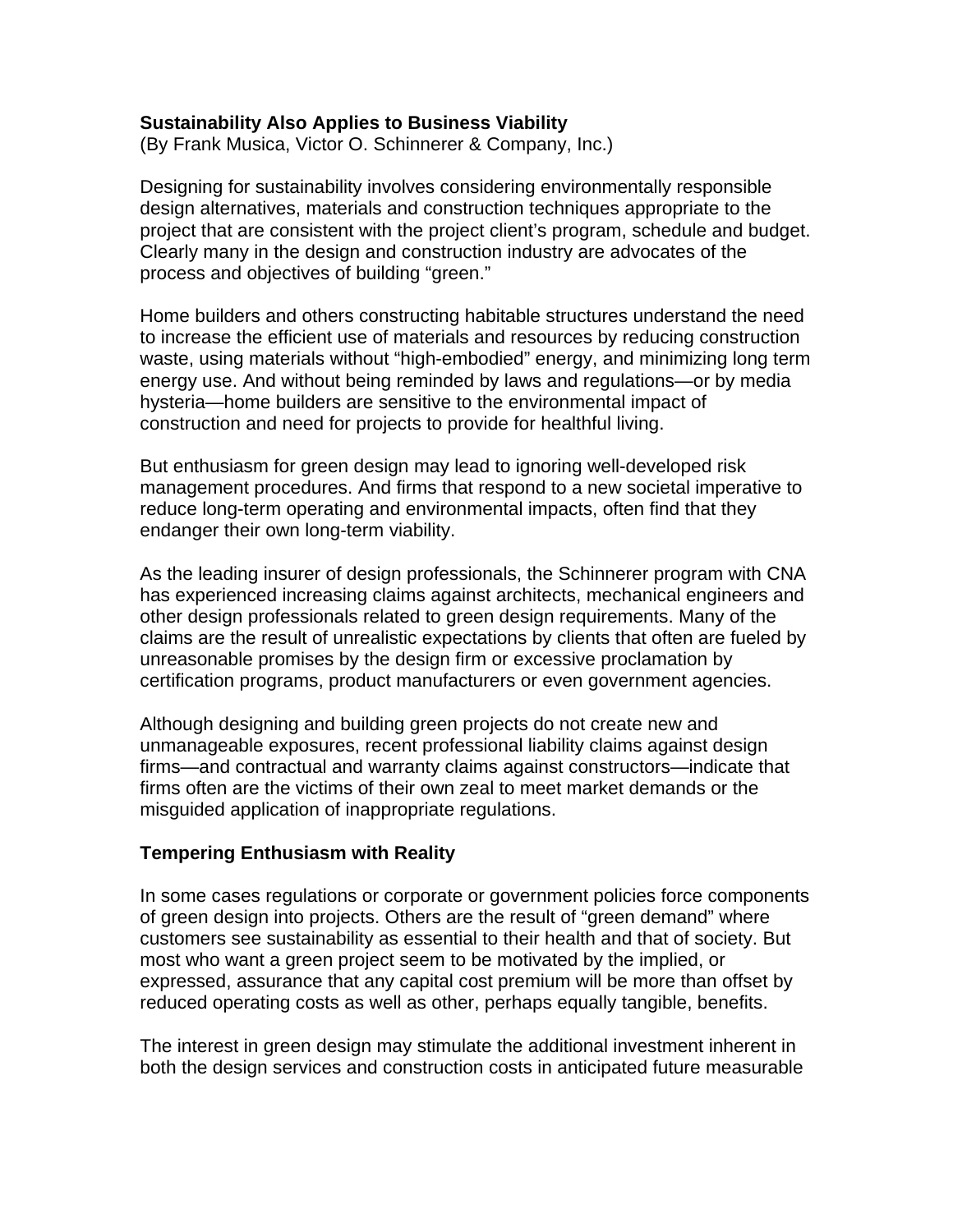## **Sustainability Also Applies to Business Viability**

(By Frank Musica, Victor O. Schinnerer & Company, Inc.)

Designing for sustainability involves considering environmentally responsible design alternatives, materials and construction techniques appropriate to the project that are consistent with the project client's program, schedule and budget. Clearly many in the design and construction industry are advocates of the process and objectives of building "green."

Home builders and others constructing habitable structures understand the need to increase the efficient use of materials and resources by reducing construction waste, using materials without "high-embodied" energy, and minimizing long term energy use. And without being reminded by laws and regulations—or by media hysteria—home builders are sensitive to the environmental impact of construction and need for projects to provide for healthful living.

But enthusiasm for green design may lead to ignoring well-developed risk management procedures. And firms that respond to a new societal imperative to reduce long-term operating and environmental impacts, often find that they endanger their own long-term viability.

As the leading insurer of design professionals, the Schinnerer program with CNA has experienced increasing claims against architects, mechanical engineers and other design professionals related to green design requirements. Many of the claims are the result of unrealistic expectations by clients that often are fueled by unreasonable promises by the design firm or excessive proclamation by certification programs, product manufacturers or even government agencies.

Although designing and building green projects do not create new and unmanageable exposures, recent professional liability claims against design firms—and contractual and warranty claims against constructors—indicate that firms often are the victims of their own zeal to meet market demands or the misguided application of inappropriate regulations.

#### **Tempering Enthusiasm with Reality**

In some cases regulations or corporate or government policies force components of green design into projects. Others are the result of "green demand" where customers see sustainability as essential to their health and that of society. But most who want a green project seem to be motivated by the implied, or expressed, assurance that any capital cost premium will be more than offset by reduced operating costs as well as other, perhaps equally tangible, benefits.

The interest in green design may stimulate the additional investment inherent in both the design services and construction costs in anticipated future measurable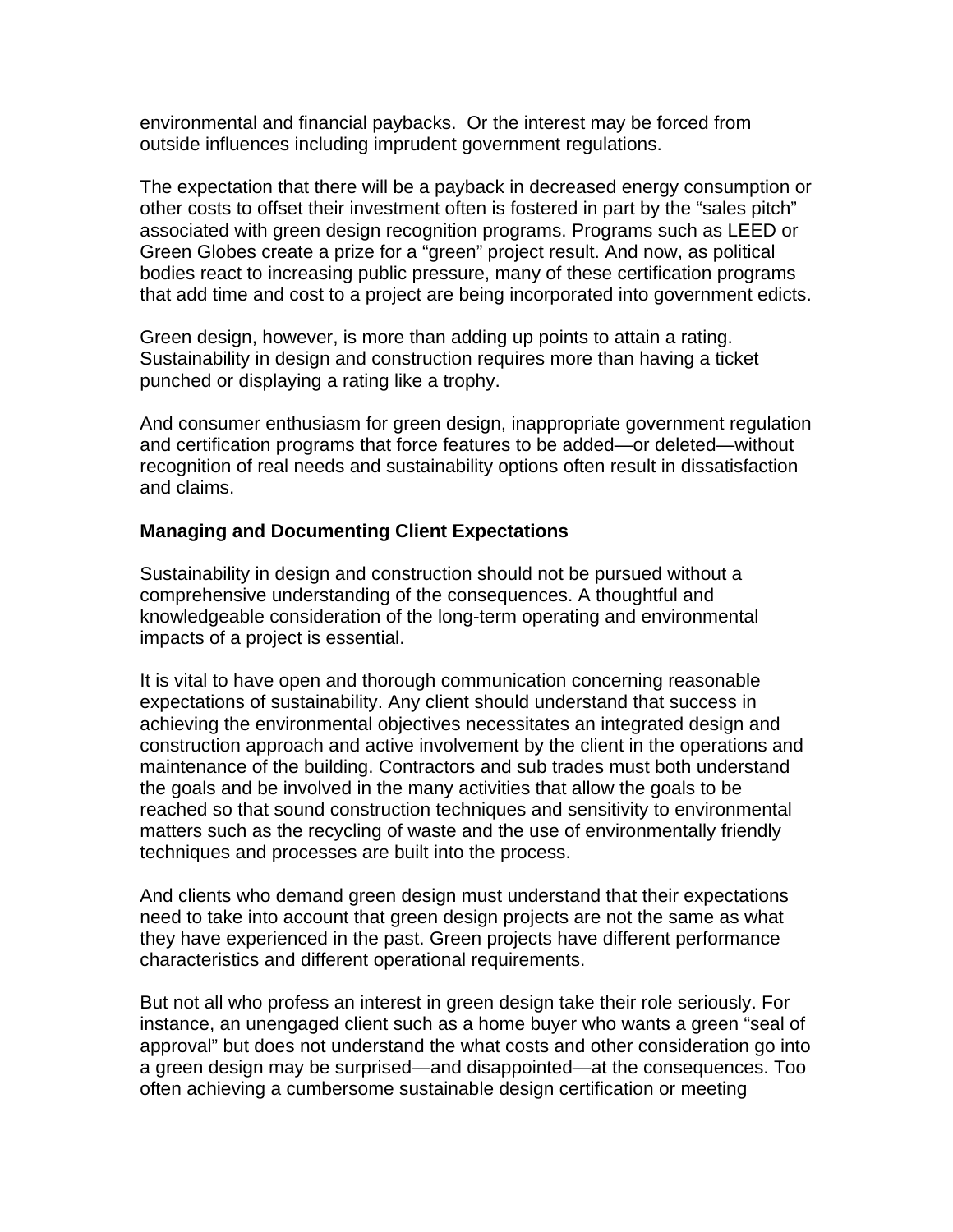environmental and financial paybacks. Or the interest may be forced from outside influences including imprudent government regulations.

The expectation that there will be a payback in decreased energy consumption or other costs to offset their investment often is fostered in part by the "sales pitch" associated with green design recognition programs. Programs such as LEED or Green Globes create a prize for a "green" project result. And now, as political bodies react to increasing public pressure, many of these certification programs that add time and cost to a project are being incorporated into government edicts.

Green design, however, is more than adding up points to attain a rating. Sustainability in design and construction requires more than having a ticket punched or displaying a rating like a trophy.

And consumer enthusiasm for green design, inappropriate government regulation and certification programs that force features to be added—or deleted—without recognition of real needs and sustainability options often result in dissatisfaction and claims.

## **Managing and Documenting Client Expectations**

Sustainability in design and construction should not be pursued without a comprehensive understanding of the consequences. A thoughtful and knowledgeable consideration of the long-term operating and environmental impacts of a project is essential.

It is vital to have open and thorough communication concerning reasonable expectations of sustainability. Any client should understand that success in achieving the environmental objectives necessitates an integrated design and construction approach and active involvement by the client in the operations and maintenance of the building. Contractors and sub trades must both understand the goals and be involved in the many activities that allow the goals to be reached so that sound construction techniques and sensitivity to environmental matters such as the recycling of waste and the use of environmentally friendly techniques and processes are built into the process.

And clients who demand green design must understand that their expectations need to take into account that green design projects are not the same as what they have experienced in the past. Green projects have different performance characteristics and different operational requirements.

But not all who profess an interest in green design take their role seriously. For instance, an unengaged client such as a home buyer who wants a green "seal of approval" but does not understand the what costs and other consideration go into a green design may be surprised—and disappointed—at the consequences. Too often achieving a cumbersome sustainable design certification or meeting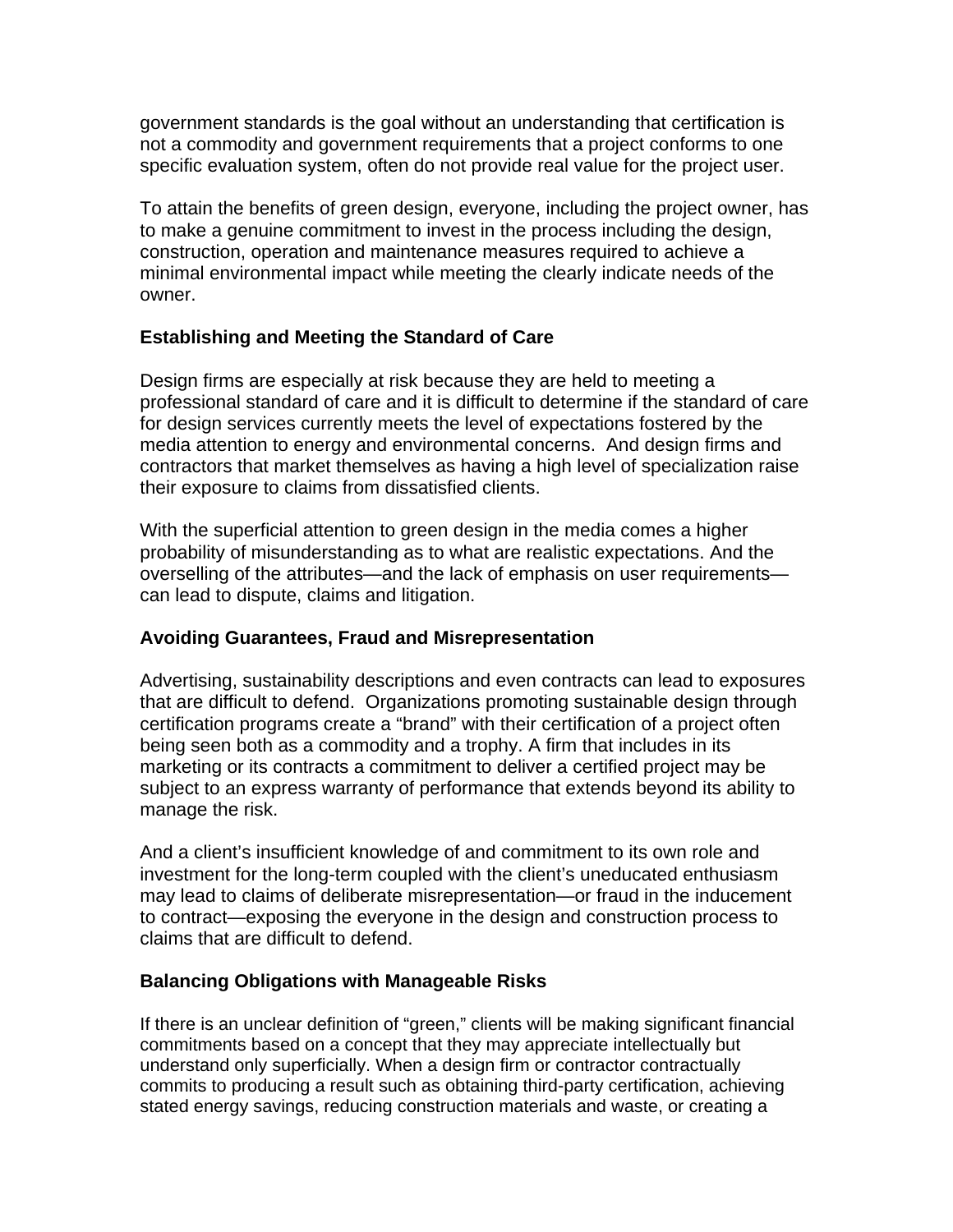government standards is the goal without an understanding that certification is not a commodity and government requirements that a project conforms to one specific evaluation system, often do not provide real value for the project user.

To attain the benefits of green design, everyone, including the project owner, has to make a genuine commitment to invest in the process including the design, construction, operation and maintenance measures required to achieve a minimal environmental impact while meeting the clearly indicate needs of the owner.

# **Establishing and Meeting the Standard of Care**

Design firms are especially at risk because they are held to meeting a professional standard of care and it is difficult to determine if the standard of care for design services currently meets the level of expectations fostered by the media attention to energy and environmental concerns. And design firms and contractors that market themselves as having a high level of specialization raise their exposure to claims from dissatisfied clients.

With the superficial attention to green design in the media comes a higher probability of misunderstanding as to what are realistic expectations. And the overselling of the attributes—and the lack of emphasis on user requirements can lead to dispute, claims and litigation.

## **Avoiding Guarantees, Fraud and Misrepresentation**

Advertising, sustainability descriptions and even contracts can lead to exposures that are difficult to defend. Organizations promoting sustainable design through certification programs create a "brand" with their certification of a project often being seen both as a commodity and a trophy. A firm that includes in its marketing or its contracts a commitment to deliver a certified project may be subject to an express warranty of performance that extends beyond its ability to manage the risk.

And a client's insufficient knowledge of and commitment to its own role and investment for the long-term coupled with the client's uneducated enthusiasm may lead to claims of deliberate misrepresentation—or fraud in the inducement to contract—exposing the everyone in the design and construction process to claims that are difficult to defend.

## **Balancing Obligations with Manageable Risks**

If there is an unclear definition of "green," clients will be making significant financial commitments based on a concept that they may appreciate intellectually but understand only superficially. When a design firm or contractor contractually commits to producing a result such as obtaining third-party certification, achieving stated energy savings, reducing construction materials and waste, or creating a